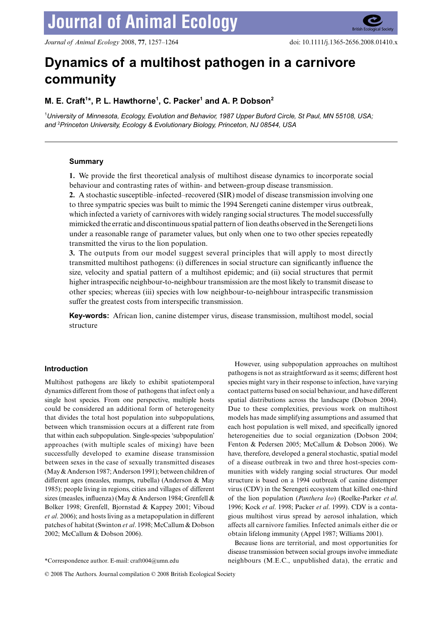# **Journal of Animal Ecology**

*Journal of Animal Ecology* 2008, **77**, 1257–1264 doi: 10.1111/j.1365-2656.2008.01410.x

## **Dynamics of a multihost pathogen in a carnivore community**

### **M. E. Craft1 \*, P. L. Hawthorne1 , C. Packer1 and A. P. Dobson2**

1 *University of Minnesota, Ecology, Evolution and Behavior, 1987 Upper Buford Circle, St Paul, MN 55108, USA; and* <sup>2</sup> *Princeton University, Ecology & Evolutionary Biology, Princeton, NJ 08544, USA*

#### **Summary**

**1.** We provide the first theoretical analysis of multihost disease dynamics to incorporate social behaviour and contrasting rates of within- and between-group disease transmission.

**2.** A stochastic susceptible–infected–recovered (SIR) model of disease transmission involving one to three sympatric species was built to mimic the 1994 Serengeti canine distemper virus outbreak, which infected a variety of carnivores with widely ranging social structures. The model successfully mimicked the erratic and discontinuous spatial pattern of lion deaths observed in the Serengeti lions under a reasonable range of parameter values, but only when one to two other species repeatedly transmitted the virus to the lion population.

**3.** The outputs from our model suggest several principles that will apply to most directly transmitted multihost pathogens: (i) differences in social structure can significantly influence the size, velocity and spatial pattern of a multihost epidemic; and (ii) social structures that permit higher intraspecific neighbour-to-neighbour transmission are the most likely to transmit disease to other species; whereas (iii) species with low neighbour-to-neighbour intraspecific transmission suffer the greatest costs from interspecific transmission.

**Key-words:** African lion, canine distemper virus, disease transmission, multihost model, social structure

#### **Introduction**

Multihost pathogens are likely to exhibit spatiotemporal dynamics different from those of pathogens that infect only a single host species. From one perspective, multiple hosts could be considered an additional form of heterogeneity that divides the total host population into subpopulations, between which transmission occurs at a different rate from that within each subpopulation. Single-species 'subpopulation' approaches (with multiple scales of mixing) have been successfully developed to examine disease transmission between sexes in the case of sexually transmitted diseases (May & Anderson 1987; Anderson 1991); between children of different ages (measles, mumps, rubella) (Anderson & May 1985); people living in regions, cities and villages of different sizes (measles, influenza) (May & Anderson 1984; Grenfell & Bolker 1998; Grenfell, Bjornstad & Kappey 2001; Viboud *et al*. 2006); and hosts living as a metapopulation in different patches of habitat (Swinton *et al*. 1998; McCallum & Dobson 2002; McCallum & Dobson 2006).

However, using subpopulation approaches on multihost pathogens is not as straightforward as it seems; different host species might vary in their response to infection, have varying contact patterns based on social behaviour, and have different spatial distributions across the landscape (Dobson 2004). Due to these complexities, previous work on multihost models has made simplifying assumptions and assumed that each host population is well mixed, and specifically ignored heterogeneities due to social organization (Dobson 2004; Fenton & Pedersen 2005; McCallum & Dobson 2006). We have, therefore, developed a general stochastic, spatial model of a disease outbreak in two and three host-species communities with widely ranging social structures. Our model structure is based on a 1994 outbreak of canine distemper virus (CDV) in the Serengeti ecosystem that killed one-third of the lion population (*Panthera leo*) (Roelke-Parker *et al*. 1996; Kock *et al*. 1998; Packer *et al*. 1999). CDV is a contagious multihost virus spread by aerosol inhalation, which affects all carnivore families. Infected animals either die or obtain lifelong immunity (Appel 1987; Williams 2001).

Because lions are territorial, and most opportunities for disease transmission between social groups involve immediate \*Correspondence author. E-mail: craft004@umn.edu neighbours (M.E.C., unpublished data), the erratic and

<sup>© 2008</sup> The Authors. Journal compilation © 2008 British Ecological Society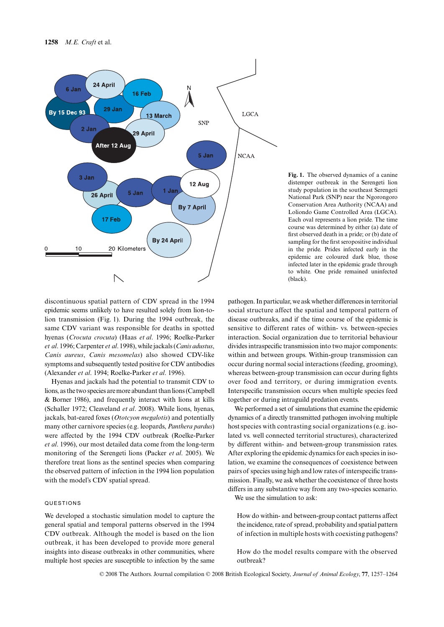

discontinuous spatial pattern of CDV spread in the 1994 epidemic seems unlikely to have resulted solely from lion-tolion transmission (Fig. 1). During the 1994 outbreak, the same CDV variant was responsible for deaths in spotted hyenas (*Crocuta crocuta*) (Haas *et al*. 1996; Roelke-Parker *et al*. 1996; Carpenter *et al*. 1998), while jackals (*Canis adustus*, *Canis aureus*, *Canis mesomelas*) also showed CDV-like symptoms and subsequently tested positive for CDV antibodies (Alexander *et al*. 1994; Roelke-Parker *et al*. 1996).

Hyenas and jackals had the potential to transmit CDV to lions, as the two species are more abundant than lions (Campbell & Borner 1986), and frequently interact with lions at kills (Schaller 1972; Cleaveland *et al*. 2008). While lions, hyenas, jackals, bat-eared foxes (*Ototcyon megalotis*) and potentially many other carnivore species (e.g. leopards, *Panthera pardus*) were affected by the 1994 CDV outbreak (Roelke-Parker *et al*. 1996), our most detailed data come from the long-term monitoring of the Serengeti lions (Packer *et al*. 2005). We therefore treat lions as the sentinel species when comparing the observed pattern of infection in the 1994 lion population with the model's CDV spatial spread.

#### QUESTIONS

We developed a stochastic simulation model to capture the general spatial and temporal patterns observed in the 1994 CDV outbreak. Although the model is based on the lion outbreak, it has been developed to provide more general insights into disease outbreaks in other communities, where multiple host species are susceptible to infection by the same

**Fig. 1.** The observed dynamics of a canine distemper outbreak in the Serengeti lion study population in the southeast Serengeti National Park (SNP) near the Ngorongoro Conservation Area Authority (NCAA) and Loliondo Game Controlled Area (LGCA). Each oval represents a lion pride. The time course was determined by either (a) date of first observed death in a pride; or (b) date of sampling for the first seropositive individual in the pride. Prides infected early in the epidemic are coloured dark blue, those infected later in the epidemic grade through to white. One pride remained uninfected (black).

pathogen. In particular, we ask whether differences in territorial social structure affect the spatial and temporal pattern of disease outbreaks, and if the time course of the epidemic is sensitive to different rates of within- vs. between-species interaction. Social organization due to territorial behaviour divides intraspecific transmission into two major components: within and between groups. Within-group transmission can occur during normal social interactions (feeding, grooming), whereas between-group transmission can occur during fights over food and territory, or during immigration events. Interspecific transmission occurs when multiple species feed together or during intraguild predation events.

We performed a set of simulations that examine the epidemic dynamics of a directly transmitted pathogen involving multiple host species with contrasting social organizations (e.g. isolated vs. well connected territorial structures), characterized by different within- and between-group transmission rates. After exploring the epidemic dynamics for each species in isolation, we examine the consequences of coexistence between pairs of species using high and low rates of interspecific transmission. Finally, we ask whether the coexistence of three hosts differs in any substantive way from any two-species scenario.

We use the simulation to ask:

How do within- and between-group contact patterns affect the incidence, rate of spread, probability and spatial pattern of infection in multiple hosts with coexisting pathogens?

How do the model results compare with the observed outbreak?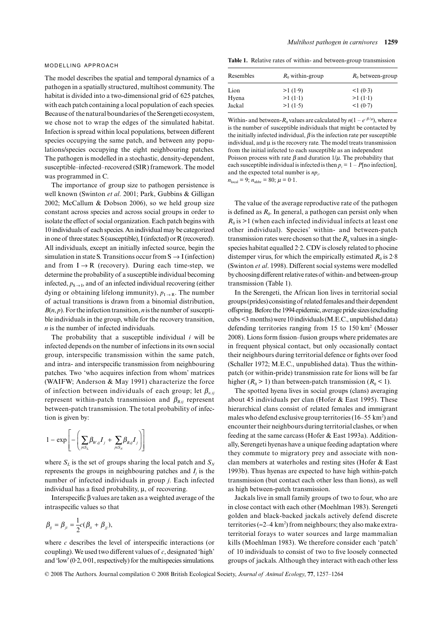#### MODELLING APPROACH

The model describes the spatial and temporal dynamics of a pathogen in a spatially structured, multihost community. The habitat is divided into a two-dimensional grid of 625 patches, with each patch containing a local population of each species. Because of the natural boundaries of the Serengeti ecosystem, we chose not to wrap the edges of the simulated habitat. Infection is spread within local populations, between different species occupying the same patch, and between any populations/species occupying the eight neighbouring patches. The pathogen is modelled in a stochastic, density-dependent, susceptible–infected–recovered (SIR) framework. The model was programmed in C.

The importance of group size to pathogen persistence is well known (Swinton *et al*. 2001; Park, Gubbins & Gilligan 2002; McCallum & Dobson 2006), so we held group size constant across species and across social groups in order to isolate the effect of social organization. Each patch begins with 10 individuals of each species. An individual may be categorized in one of three states: S (susceptible), I (infected) or R (recovered). All individuals, except an initially infected source, begin the simulation in state S. Transitions occur from  $S \rightarrow I$  (infection) and from  $I \rightarrow R$  (recovery). During each time-step, we determine the probability of a susceptible individual becoming infected,  $p_{S \to I}$ , and of an infected individual recovering (either dying or obtaining lifelong immunity),  $p_{I \rightarrow R}$ . The number of actual transitions is drawn from a binomial distribution,  $B(n, p)$ . For the infection transition, *n* is the number of susceptible individuals in the group, while for the recovery transition, *n* is the number of infected individuals.

The probability that a susceptible individual *i* will be infected depends on the number of infections in its own social group, interspecific transmission within the same patch, and intra- and interspecific transmission from neighbouring patches. Two 'who acquires infection from whom' matrices (WAIFW; Anderson & May 1991) characterize the force of infection between individuals of each group; let  $\beta_{w,ij}$ represent within-patch transmission and  $\beta_{B,ij}$  represent between-patch transmission. The total probability of infection is given by:

$$
1 - \exp\left[-\left(\sum_{j\in S_L}\beta_{W,j}I_j + \sum_{j\in S_N}\beta_{B,j}I_j\right)\right]
$$

where  $S_L$  is the set of groups sharing the local patch and  $S_N$ represents the groups in neighbouring patches and  $I_j$  is the number of infected individuals in group *j*. Each infected individual has a fixed probability, μ, of recovering.

Interspecific β values are taken as a weighted average of the intraspecific values so that

$$
\beta_{ij}=\beta_{ji}=\frac{1}{2}c(\beta_{ii}+\beta_{jj}),
$$

where *c* describes the level of interspecific interactions (or coupling). We used two different values of *c*, designated 'high' and 'low' (0·2, 0·01, respectively) for the multispecies simulations.

**Table 1.** Relative rates of within- and between-group transmission

| Resembles | $R_0$ within-group | $R_0$ between-group |
|-----------|--------------------|---------------------|
| Lion      | >1(1.9)            | <1(0.3)             |
| Hyena     | $>1(1-1)$          | $>1(1-1)$           |
| Jackal    | >1(1.5)            | <1(0.7)             |

Within- and between- $R_0$  values are calculated by  $n(1 - e^{-\beta/\mu})$ , where *n* is the number of susceptible individuals that might be contacted by the initially infected individual,  $\beta$  is the infection rate per susceptible individual, and μ is the recovery rate. The model treats transmission from the initial infected to each susceptible as an independent Poisson process with rate  $\beta$  and duration  $1/\mu$ . The probability that each susceptible individual is infected is then  $p_i = 1 - P$  [no infection], and the expected total number is  $np_i$ .

 $n_{\text{local}} = 9$ ;  $n_{\text{nbr}} = 80$ ;  $\mu = 0.1$ .

The value of the average reproductive rate of the pathogen is defined as  $R_0$ . In general, a pathogen can persist only when  $R_0$  is  $>1$  (when each infected individual infects at least one other individual). Species' within- and between-patch transmission rates were chosen so that the  $R_0$  values in a singlespecies habitat equalled 2·2. CDV is closely related to phocine distemper virus, for which the empirically estimated  $R_0$  is 2.8 (Swinton *et al*. 1998). Different social systems were modelled by choosing different relative rates of within- and between-group transmission (Table 1).

In the Serengeti, the African lion lives in territorial social groups (prides) consisting of related females and their dependent offspring. Before the 1994 epidemic, average pride sizes (excluding cubs <3 months) were 10 individuals (M.E.C., unpublished data) defending territories ranging from 15 to  $150 \text{ km}^2$  (Mosser 2008). Lions form fission–fusion groups where pridemates are in frequent physical contact, but only occasionally contact their neighbours during territorial defence or fights over food (Schaller 1972; M.E.C., unpublished data). Thus the withinpatch (or within-pride) transmission rate for lions will be far higher  $(R_0 > 1)$  than between-patch transmission  $(R_0 < 1)$ .

The spotted hyena lives in social groups (clans) averaging about 45 individuals per clan (Hofer & East 1995). These hierarchical clans consist of related females and immigrant males who defend exclusive group territories (16–55  $\text{km}^2$ ) and encounter their neighbours during territorial clashes, or when feeding at the same carcass (Hofer & East 1993a). Additionally, Serengeti hyenas have a unique feeding adaptation where they commute to migratory prey and associate with nonclan members at waterholes and resting sites (Hofer & East 1993b). Thus hyenas are expected to have high within-patch transmission (but contact each other less than lions), as well as high between-patch transmission.

Jackals live in small family groups of two to four, who are in close contact with each other (Moehlman 1983). Serengeti golden and black-backed jackals actively defend discrete territories ( $\approx$ 2–4 km<sup>2</sup>) from neighbours; they also make extraterritorial forays to water sources and large mammalian kills (Moehlman 1983). We therefore consider each 'patch' of 10 individuals to consist of two to five loosely connected groups of jackals. Although they interact with each other less

© 2008 The Authors. Journal compilation © 2008 British Ecological Society, *Journal of Animal Ecology*, **77**, 1257–1264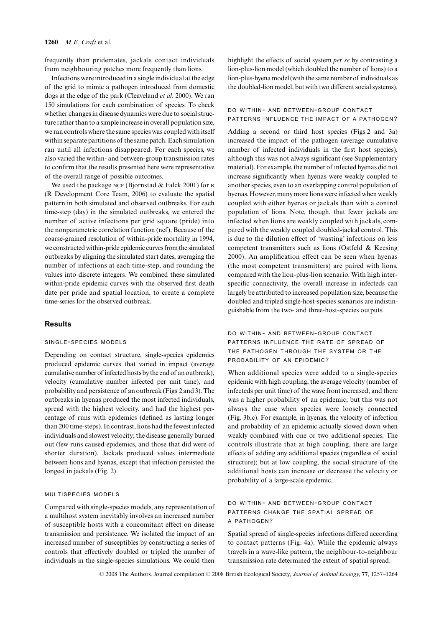frequently than pridemates, jackals contact individuals from neighbouring patches more frequently than lions.

Infections were introduced in a single individual at the edge of the grid to mimic a pathogen introduced from domestic dogs at the edge of the park (Cleaveland *et al*. 2000). We ran 150 simulations for each combination of species. To check whether changes in disease dynamics were due to social structure rather than to a simple increase in overall population size, we ran controls where the same species was coupled with itself within separate partitions of the same patch. Each simulation ran until all infections disappeared. For each species, we also varied the within- and between-group transmission rates to confirm that the results presented here were representative of the overall range of possible outcomes.

We used the package NCF (Bjornstad  $&$  Falck 2001) for R (R Development Core Team, 2006) to evaluate the spatial pattern in both simulated and observed outbreaks. For each time-step (day) in the simulated outbreaks, we entered the number of active infections per grid square (pride) into the nonparametric correlation function (ncf). Because of the coarse-grained resolution of within-pride mortality in 1994, we constructed within-pride epidemic curves from the simulated outbreaks by aligning the simulated start dates, averaging the number of infections at each time-step, and rounding the values into discrete integers. We combined these simulated within-pride epidemic curves with the observed first death date per pride and spatial location, to create a complete time-series for the observed outbreak.

#### **Results**

#### SINGLE-SPECIES MODELS

Depending on contact structure, single-species epidemics produced epidemic curves that varied in impact (average cumulative number of infected hosts by the end of an outbreak), velocity (cumulative number infected per unit time), and probability and persistence of an outbreak (Figs 2 and 3). The outbreaks in hyenas produced the most infected individuals, spread with the highest velocity, and had the highest percentage of runs with epidemics (defined as lasting longer than 200 time-steps). In contrast, lions had the fewest infected individuals and slowest velocity; the disease generally burned out (few runs caused epidemics, and those that did were of shorter duration). Jackals produced values intermediate between lions and hyenas, except that infection persisted the longest in jackals (Fig. 2).

#### MULTISPECIES MODELS

Compared with single-species models, any representation of a multihost system inevitably involves an increased number of susceptible hosts with a concomitant effect on disease transmission and persistence. We isolated the impact of an increased number of susceptibles by constructing a series of controls that effectively doubled or tripled the number of individuals in the single-species simulations. We could then

highlight the effects of social system *per se* by contrasting a lion-plus-lion model (which doubled the number of lions) to a lion-plus-hyena model (with the same number of individuals as the doubled-lion model, but with two different social systems).

#### DO WITHIN- AND BETWEEN-GROUP CONTACT PATTERNS INFLUENCE THE IMPACT OF A PATHOGEN?

Adding a second or third host species (Figs 2 and 3a) increased the impact of the pathogen (average cumulative number of infected individuals in the first host species), although this was not always significant (see Supplementary material). For example, the number of infected hyenas did not increase significantly when hyenas were weakly coupled to another species, even to an overlapping control population of hyenas. However, many more lions were infected when weakly coupled with either hyenas or jackals than with a control population of lions. Note, though, that fewer jackals are infected when lions are weakly coupled with jackals, compared with the weakly coupled doubled-jackal control. This is due to the dilution effect of 'wasting' infections on less competent transmitters such as lions (Ostfeld & Keesing 2000). An amplification effect can be seen when hyenas (the most competent transmitters) are paired with lions, compared with the lion-plus-lion scenario. With high interspecific connectivity, the overall increase in infecteds can largely be attributed to increased population size, because the doubled and tripled single-host-species scenarios are indistinguishable from the two- and three-host-species outputs.

#### DO WITHIN- AND BETWEEN-GROUP CONTACT PATTERNS INFLUENCE THE RATE OF SPREAD OF THE PATHOGEN THROUGH THE SYSTEM OR THE PROBABILITY OF AN EPIDEMIC?

When additional species were added to a single-species epidemic with high coupling, the average velocity (number of infecteds per unit time) of the wave front increased, and there was a higher probability of an epidemic; but this was not always the case when species were loosely connected (Fig. 3b,c). For example, in hyenas, the velocity of infection and probability of an epidemic actually slowed down when weakly combined with one or two additional species. The controls illustrate that at high coupling, there are large effects of adding any additional species (regardless of social structure); but at low coupling, the social structure of the additional hosts can increase or decrease the velocity or probability of a large-scale epidemic.

#### DO WITHIN- AND BETWEEN-GROUP CONTACT PATTERNS CHANGE THE SPATIAL SPREAD OF A PATHOGEN?

Spatial spread of single-species infections differed according to contact patterns (Fig. 4a). While the epidemic always travels in a wave-like pattern, the neighbour-to-neighbour transmission rate determined the extent of spatial spread.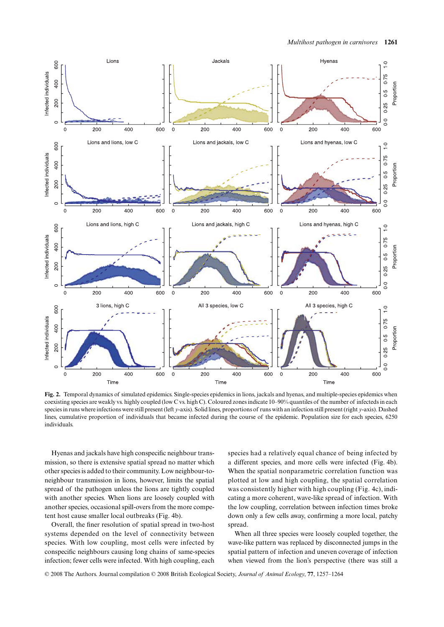

**Fig. 2.** Temporal dynamics of simulated epidemics. Single-species epidemics in lions, jackals and hyenas, and multiple-species epidemics when coexisting species are weakly vs. highly coupled (low C vs. high C). Coloured zones indicate 10–90% quantiles of the number of infecteds in each species in runs where infections were still present (left *y*-axis). Solid lines, proportions of runs with an infection still present (right *y*-axis). Dashed lines, cumulative proportion of individuals that became infected during the course of the epidemic. Population size for each species, 6250 individuals.

Hyenas and jackals have high conspecific neighbour transmission, so there is extensive spatial spread no matter which other species is added to their community. Low neighbour-toneighbour transmission in lions, however, limits the spatial spread of the pathogen unless the lions are tightly coupled with another species. When lions are loosely coupled with another species, occasional spill-overs from the more competent host cause smaller local outbreaks (Fig. 4b).

Overall, the finer resolution of spatial spread in two-host systems depended on the level of connectivity between species. With low coupling, most cells were infected by conspecific neighbours causing long chains of same-species infection; fewer cells were infected. With high coupling, each

species had a relatively equal chance of being infected by a different species, and more cells were infected (Fig. 4b). When the spatial nonparametric correlation function was plotted at low and high coupling, the spatial correlation was consistently higher with high coupling (Fig. 4c), indicating a more coherent, wave-like spread of infection. With the low coupling, correlation between infection times broke down only a few cells away, confirming a more local, patchy spread.

When all three species were loosely coupled together, the wave-like pattern was replaced by disconnected jumps in the spatial pattern of infection and uneven coverage of infection when viewed from the lion's perspective (there was still a

© 2008 The Authors. Journal compilation © 2008 British Ecological Society, *Journal of Animal Ecology*, **77**, 1257–1264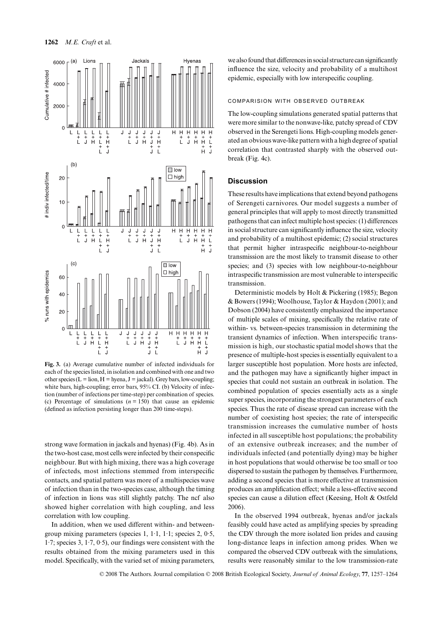

**Fig. 3.** (a) Average cumulative number of infected individuals for each of the species listed, in isolation and combined with one and two other species ( $L =$ lion,  $H =$ hyena,  $J =$ jackal). Grey bars, low-coupling; white bars, high-coupling; error bars, 95% CI. (b) Velocity of infection (number of infections per time-step) per combination of species. (c) Percentage of simulations (*n* = 150) that cause an epidemic (defined as infection persisting longer than 200 time-steps).

strong wave formation in jackals and hyenas) (Fig. 4b). As in the two-host case, most cells were infected by their conspecific neighbour. But with high mixing, there was a high coverage of infecteds, most infections stemmed from interspecific contacts, and spatial pattern was more of a multispecies wave of infection than in the two-species case, although the timing of infection in lions was still slightly patchy. The ncf also showed higher correlation with high coupling, and less correlation with low coupling.

In addition, when we used different within- and betweengroup mixing parameters (species 1, 1·1, 1·1; species 2, 0·5, 1·7; species 3, 1·7, 0·5), our findings were consistent with the results obtained from the mixing parameters used in this model. Specifically, with the varied set of mixing parameters,

we also found that differences in social structure can significantly influence the size, velocity and probability of a multihost epidemic, especially with low interspecific coupling.

#### COMPARISION WITH OBSERVED OUTBREAK

The low-coupling simulations generated spatial patterns that were more similar to the nonwave-like, patchy spread of CDV observed in the Serengeti lions. High-coupling models generated an obvious wave-like pattern with a high degree of spatial correlation that contrasted sharply with the observed outbreak (Fig. 4c).

#### **Discussion**

These results have implications that extend beyond pathogens of Serengeti carnivores. Our model suggests a number of general principles that will apply to most directly transmitted pathogens that can infect multiple host species: (1) differences in social structure can significantly influence the size, velocity and probability of a multihost epidemic; (2) social structures that permit higher intraspecific neighbour-to-neighbour transmission are the most likely to transmit disease to other species; and (3) species with low neighbour-to-neighbour intraspecific transmission are most vulnerable to interspecific transmission.

Deterministic models by Holt & Pickering (1985); Begon & Bowers (1994); Woolhouse, Taylor & Haydon (2001); and Dobson (2004) have consistently emphasized the importance of multiple scales of mixing, specifically the relative rate of within- vs. between-species transmission in determining the transient dynamics of infection. When interspecific transmission is high, our stochastic spatial model shows that the presence of multiple-host species is essentially equivalent to a larger susceptible host population. More hosts are infected, and the pathogen may have a significantly higher impact in species that could not sustain an outbreak in isolation. The combined population of species essentially acts as a single super species, incorporating the strongest parameters of each species. Thus the rate of disease spread can increase with the number of coexisting host species; the rate of interspecific transmission increases the cumulative number of hosts infected in all susceptible host populations; the probability of an extensive outbreak increases; and the number of individuals infected (and potentially dying) may be higher in host populations that would otherwise be too small or too dispersed to sustain the pathogen by themselves. Furthermore, adding a second species that is more effective at transmission produces an amplification effect; while a less-effective second species can cause a dilution effect (Keesing, Holt & Ostfeld 2006).

In the observed 1994 outbreak, hyenas and/or jackals feasibly could have acted as amplifying species by spreading the CDV through the more isolated lion prides and causing long-distance leaps in infection among prides. When we compared the observed CDV outbreak with the simulations, results were reasonably similar to the low transmission-rate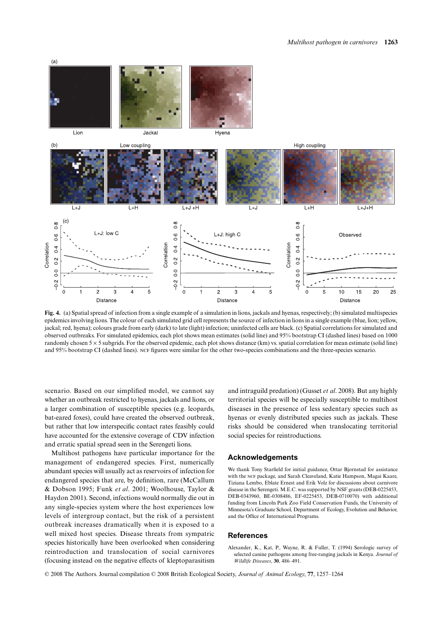

**Fig. 4.** (a) Spatial spread of infection from a single example of a simulation in lions, jackals and hyenas, respectively; (b) simulated multispecies epidemics involving lions. The colour of each simulated grid cell represents the source of infection in lions in a single example (blue, lion; yellow, jackal; red, hyena); colours grade from early (dark) to late (light) infection; uninfected cells are black. (c) Spatial correlations for simulated and observed outbreaks. For simulated epidemics, each plot shows mean estimates (solid line) and 95% bootstrap CI (dashed lines) based on 1000 randomly chosen  $5 \times 5$  subgrids. For the observed epidemic, each plot shows distance (km) vs. spatial correlation for mean estimate (solid line) and 95% bootstrap CI (dashed lines). NCF figures were similar for the other two-species combinations and the three-species scenario.

scenario. Based on our simplified model, we cannot say whether an outbreak restricted to hyenas, jackals and lions, or a larger combination of susceptible species (e.g. leopards, bat-eared foxes), could have created the observed outbreak, but rather that low interspecific contact rates feasibly could have accounted for the extensive coverage of CDV infection and erratic spatial spread seen in the Serengeti lions.

Multihost pathogens have particular importance for the management of endangered species. First, numerically abundant species will usually act as reservoirs of infection for endangered species that are, by definition, rare (McCallum & Dobson 1995; Funk *et al*. 2001; Woolhouse, Taylor & Haydon 2001). Second, infections would normally die out in any single-species system where the host experiences low levels of intergroup contact, but the risk of a persistent outbreak increases dramatically when it is exposed to a well mixed host species. Disease threats from sympatric species historically have been overlooked when considering reintroduction and translocation of social carnivores (focusing instead on the negative effects of kleptoparasitism

and intraguild predation) (Gusset *et al*. 2008). But any highly territorial species will be especially susceptible to multihost diseases in the presence of less sedentary species such as hyenas or evenly distributed species such as jackals. These risks should be considered when translocating territorial social species for reintroductions.

#### **Acknowledgements**

We thank Tony Starfield for initial guidance, Ottar Bjornstad for assistance with the NCF package, and Sarah Cleaveland, Katie Hampson, Magai Kaare, Tiziana Lembo, Eblate Ernest and Erik Volz for discussions about carnivore disease in the Serengeti. M.E.C. was supported by NSF grants (DEB-0225453, DEB-0343960, BE-0308486, EF-0225453, DEB-0710070) with additional funding from Lincoln Park Zoo Field Conservation Funds, the University of Minnesota's Graduate School, Department of Ecology, Evolution and Behavior, and the Office of International Programs.

#### **References**

Alexander, K., Kat, P., Wayne, R. & Fuller, T. (1994) Serologic survey of selected canine pathogens among free-ranging jackals in Kenya. *Journal of Wildlife Diseases*, **30**, 486–491.

© 2008 The Authors. Journal compilation © 2008 British Ecological Society, *Journal of Animal Ecology*, **77**, 1257–1264